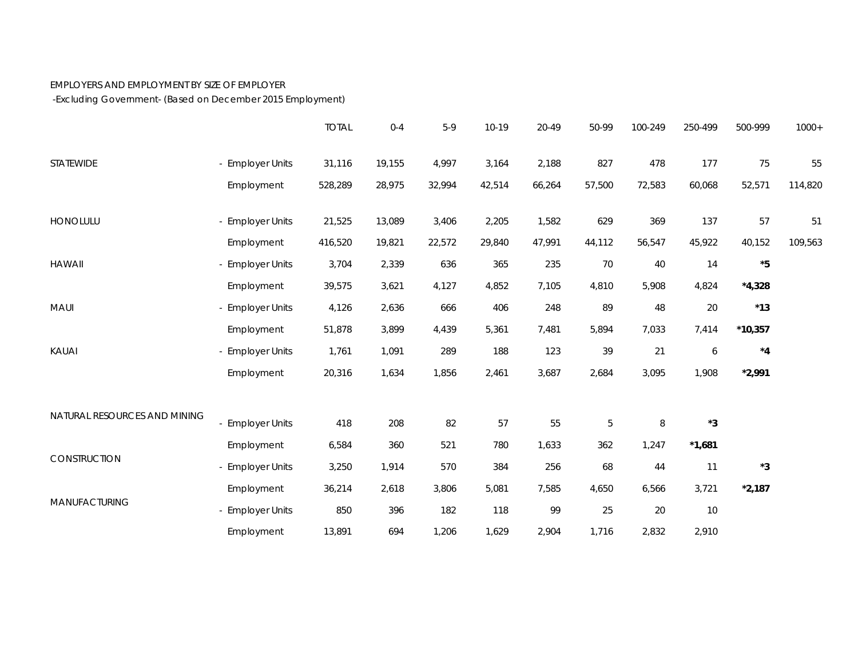## EMPLOYERS AND EMPLOYMENT BY SIZE OF EMPLOYER

-Excluding Government- (Based on December 2015 Employment)

|                              |                  | <b>TOTAL</b> | $0 - 4$ | $5-9$  | 10-19  | 20-49  | 50-99       | 100-249 | 250-499     | 500-999       | $1000+$ |
|------------------------------|------------------|--------------|---------|--------|--------|--------|-------------|---------|-------------|---------------|---------|
| STATEWIDE                    | - Employer Units | 31,116       | 19,155  | 4,997  | 3,164  | 2,188  | 827         | 478     | 177         | 75            | 55      |
|                              | Employment       | 528,289      | 28,975  | 32,994 | 42,514 | 66,264 | 57,500      | 72,583  | 60,068      | 52,571        | 114,820 |
| HONOLULU                     | - Employer Units | 21,525       | 13,089  | 3,406  | 2,205  | 1,582  | 629         | 369     | 137         | 57            | 51      |
|                              | Employment       | 416,520      | 19,821  | 22,572 | 29,840 | 47,991 | 44,112      | 56,547  | 45,922      | 40,152        | 109,563 |
| <b>HAWAII</b>                | - Employer Units | 3,704        | 2,339   | 636    | 365    | 235    | 70          | 40      | 14          | $^\star 5$    |         |
|                              | Employment       | 39,575       | 3,621   | 4,127  | 4,852  | 7,105  | 4,810       | 5,908   | 4,824       | $*4,328$      |         |
| MAUI                         | - Employer Units | 4,126        | 2,636   | 666    | 406    | 248    | 89          | 48      | 20          | $^{\star}$ 13 |         |
|                              | Employment       | 51,878       | 3,899   | 4,439  | 5,361  | 7,481  | 5,894       | 7,033   | 7,414       | $*10,357$     |         |
| KAUAI                        | - Employer Units | 1,761        | 1,091   | 289    | 188    | 123    | 39          | 21      | 6           | $^{\star}4$   |         |
|                              | Employment       | 20,316       | 1,634   | 1,856  | 2,461  | 3,687  | 2,684       | 3,095   | 1,908       | $*2,991$      |         |
| NATURAL RESOURCES AND MINING |                  |              |         |        |        |        |             |         |             |               |         |
|                              | - Employer Units | 418          | 208     | 82     | 57     | 55     | $\mathbf 5$ | $\, 8$  | $^{\star}3$ |               |         |
| CONSTRUCTION                 | Employment       | 6,584        | 360     | 521    | 780    | 1,633  | 362         | 1,247   | $*1,681$    |               |         |
|                              | - Employer Units | 3,250        | 1,914   | 570    | 384    | 256    | 68          | 44      | 11          | $^{\star}3$   |         |
| MANUFACTURING                | Employment       | 36,214       | 2,618   | 3,806  | 5,081  | 7,585  | 4,650       | 6,566   | 3,721       | $*2,187$      |         |
|                              | - Employer Units | 850          | 396     | 182    | 118    | 99     | 25          | 20      | $10$        |               |         |
|                              | Employment       | 13,891       | 694     | 1,206  | 1,629  | 2,904  | 1,716       | 2,832   | 2,910       |               |         |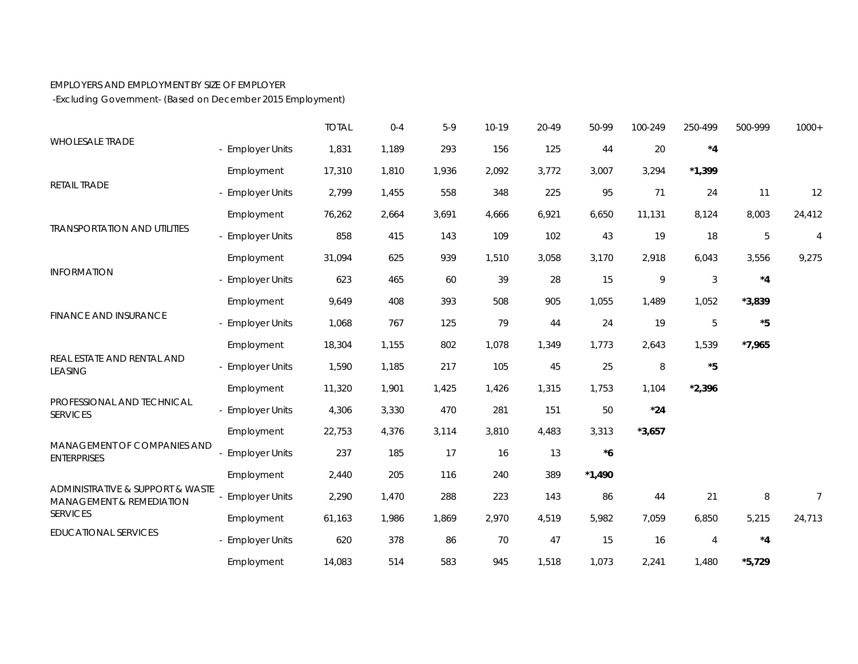## EMPLOYERS AND EMPLOYMENT BY SIZE OF EMPLOYER

-Excluding Government- (Based on December 2015 Employment)

|                                                                                                                |                       | <b>TOTAL</b> | $0 - 4$ | $5-9$ | 10-19 | 20-49 | 50-99       | 100-249     | 250-499        | 500-999    | $1000+$        |
|----------------------------------------------------------------------------------------------------------------|-----------------------|--------------|---------|-------|-------|-------|-------------|-------------|----------------|------------|----------------|
| <b>WHOLESALE TRADE</b>                                                                                         | - Employer Units      | 1,831        | 1,189   | 293   | 156   | 125   | 44          | 20          | $^{\star}4$    |            |                |
|                                                                                                                | Employment            | 17,310       | 1,810   | 1,936 | 2,092 | 3,772 | 3,007       | 3,294       | $*1,399$       |            |                |
| <b>RETAIL TRADE</b>                                                                                            | - Employer Units      | 2,799        | 1,455   | 558   | 348   | 225   | 95          | 71          | 24             | 11         | 12             |
| <b>TRANSPORTATION AND UTILITIES</b>                                                                            | Employment            | 76,262       | 2,664   | 3,691 | 4,666 | 6,921 | 6,650       | 11,131      | 8,124          | 8,003      | 24,412         |
|                                                                                                                | - Employer Units      | 858          | 415     | 143   | 109   | 102   | 43          | 19          | 18             | 5          | $\overline{4}$ |
| <b>INFORMATION</b><br><b>FINANCE AND INSURANCE</b>                                                             | Employment            | 31,094       | 625     | 939   | 1,510 | 3,058 | 3,170       | 2,918       | 6,043          | 3,556      | 9,275          |
|                                                                                                                | - Employer Units      | 623          | 465     | 60    | 39    | 28    | 15          | $\mathsf q$ | $\sqrt{3}$     | $*_{4}$    |                |
|                                                                                                                | Employment            | 9,649        | 408     | 393   | 508   | 905   | 1,055       | 1,489       | 1,052          | $*3,839$   |                |
|                                                                                                                | - Employer Units      | 1,068        | 767     | 125   | 79    | 44    | 24          | 19          | $\mathbf 5$    | $^\star 5$ |                |
| REAL ESTATE AND RENTAL AND<br><b>LEASING</b>                                                                   | Employment            | 18,304       | 1,155   | 802   | 1,078 | 1,349 | 1,773       | 2,643       | 1,539          | $*7,965$   |                |
|                                                                                                                | - Employer Units      | 1,590        | 1,185   | 217   | 105   | 45    | 25          | $\, 8$      | $^\star 5$     |            |                |
|                                                                                                                | Employment            | 11,320       | 1,901   | 1,425 | 1,426 | 1,315 | 1,753       | 1,104       | $*2,396$       |            |                |
| PROFESSIONAL AND TECHNICAL<br><b>SERVICES</b>                                                                  | - Employer Units      | 4,306        | 3,330   | 470   | 281   | 151   | 50          | $*24$       |                |            |                |
|                                                                                                                | Employment            | 22,753       | 4,376   | 3,114 | 3,810 | 4,483 | 3,313       | $*3,657$    |                |            |                |
| MANAGEMENT OF COMPANIES AND<br><b>ENTERPRISES</b>                                                              | <b>Employer Units</b> | 237          | 185     | 17    | 16    | 13    | $^{\star}6$ |             |                |            |                |
|                                                                                                                | Employment            | 2,440        | 205     | 116   | 240   | 389   | $*1,490$    |             |                |            |                |
| ADMINISTRATIVE & SUPPORT & WASTE<br>MANAGEMENT & REMEDIATION<br><b>SERVICES</b><br><b>EDUCATIONAL SERVICES</b> | <b>Employer Units</b> | 2,290        | 1,470   | 288   | 223   | 143   | 86          | 44          | 21             | 8          | $\overline{7}$ |
|                                                                                                                | Employment            | 61,163       | 1,986   | 1,869 | 2,970 | 4,519 | 5,982       | 7,059       | 6,850          | 5,215      | 24,713         |
|                                                                                                                | - Employer Units      | 620          | 378     | 86    | 70    | 47    | 15          | 16          | $\overline{4}$ | $*_{4}$    |                |
|                                                                                                                | Employment            | 14,083       | 514     | 583   | 945   | 1,518 | 1,073       | 2,241       | 1,480          | $*5,729$   |                |